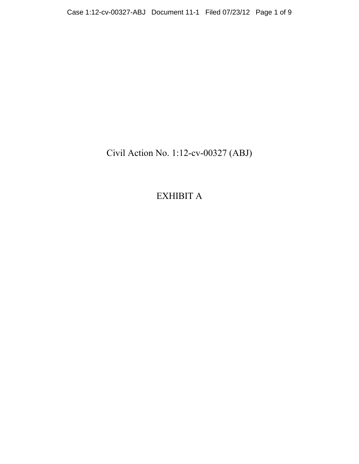Civil Action No. 1:12-cv-00327 (ABJ)

EXHIBIT A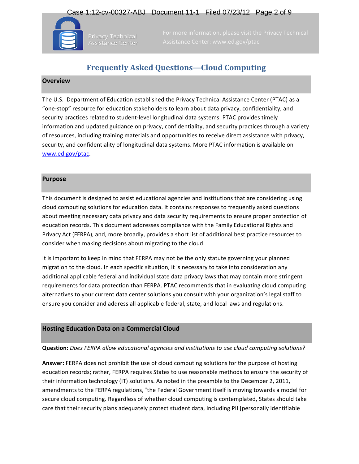# Case 1:12-cv-00327-ABJ Document 11-1 Filed 07/23/12 Page 2 of 9



Privacy Technical Assistance Center

# **Frequently Asked Questions—Cloud Computing**

## **Overview**

The U.S. Department of Education established the Privacy Technical Assistance Center (PTAC) as a "one-stop" resource for education stakeholders to learn about data privacy, confidentiality, and security practices related to student-level longitudinal data systems. PTAC provides timely information and updated guidance on privacy, confidentiality, and security practices through a variety of resources, including training materials and opportunities to receive direct assistance with privacy, security, and confidentiality of longitudinal data systems. More PTAC information is available on www.ed.gov/ptac. 

#### **Purpose**

This document is designed to assist educational agencies and institutions that are considering using cloud computing solutions for education data. It contains responses to frequently asked questions about meeting necessary data privacy and data security requirements to ensure proper protection of education records. This document addresses compliance with the Family Educational Rights and Privacy Act (FERPA), and, more broadly, provides a short list of additional best practice resources to consider when making decisions about migrating to the cloud.

It is important to keep in mind that FERPA may not be the only statute governing your planned migration to the cloud. In each specific situation, it is necessary to take into consideration any additional applicable federal and individual state data privacy laws that may contain more stringent requirements for data protection than FERPA. PTAC recommends that in evaluating cloud computing alternatives to your current data center solutions you consult with your organization's legal staff to ensure you consider and address all applicable federal, state, and local laws and regulations.

## **Hosting Education Data on a Commercial Cloud**

#### **Question:** Does FERPA allow educational agencies and institutions to use cloud computing solutions?

Answer: FERPA does not prohibit the use of cloud computing solutions for the purpose of hosting education records; rather, FERPA requires States to use reasonable methods to ensure the security of their information technology (IT) solutions. As noted in the preamble to the December 2, 2011, amendments to the FERPA regulations, "the Federal Government itself is moving towards a model for secure cloud computing. Regardless of whether cloud computing is contemplated, States should take care that their security plans adequately protect student data, including PII [personally identifiable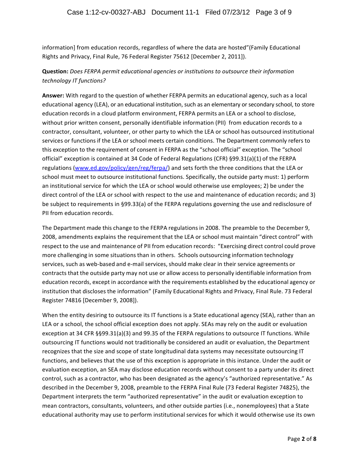information] from education records, regardless of where the data are hosted"(Family Educational Rights and Privacy, Final Rule, 76 Federal Register 75612 [December 2, 2011]).

# **Question:** Does FERPA permit educational agencies or institutions to outsource their information *technology IT functions?*

Answer: With regard to the question of whether FERPA permits an educational agency, such as a local educational agency (LEA), or an educational institution, such as an elementary or secondary school, to store education records in a cloud platform environment, FERPA permits an LEA or a school to disclose, without prior written consent, personally identifiable information (PII) from education records to a contractor, consultant, volunteer, or other party to which the LEA or school has outsourced institutional services or functions if the LEA or school meets certain conditions. The Department commonly refers to this exception to the requirement of consent in FERPA as the "school official" exception. The "school official" exception is contained at 34 Code of Federal Regulations (CFR) §99.31(a)(1) of the FERPA regulations (www.ed.gov/policy/gen/reg/ferpa/) and sets forth the three conditions that the LEA or school must meet to outsource institutional functions. Specifically, the outside party must: 1) perform an institutional service for which the LEA or school would otherwise use employees; 2) be under the direct control of the LEA or school with respect to the use and maintenance of education records; and 3) be subject to requirements in §99.33(a) of the FERPA regulations governing the use and redisclosure of PII from education records.

The Department made this change to the FERPA regulations in 2008. The preamble to the December 9, 2008, amendments explains the requirement that the LEA or school must maintain "direct control" with respect to the use and maintenance of PII from education records: "Exercising direct control could prove more challenging in some situations than in others. Schools outsourcing information technology services, such as web-based and e-mail services, should make clear in their service agreements or contracts that the outside party may not use or allow access to personally identifiable information from education records, except in accordance with the requirements established by the educational agency or institution that discloses the information" (Family Educational Rights and Privacy, Final Rule. 73 Federal Register 74816 [December 9, 2008]). 

When the entity desiring to outsource its IT functions is a State educational agency (SEA), rather than an LEA or a school, the school official exception does not apply. SEAs may rely on the audit or evaluation exception at 34 CFR §§99.31(a)(3) and 99.35 of the FERPA regulations to outsource IT functions. While outsourcing IT functions would not traditionally be considered an audit or evaluation, the Department recognizes that the size and scope of state longitudinal data systems may necessitate outsourcing IT functions, and believes that the use of this exception is appropriate in this instance. Under the audit or evaluation exception, an SEA may disclose education records without consent to a party under its direct control, such as a contractor, who has been designated as the agency's "authorized representative." As described in the December 9, 2008, preamble to the FERPA Final Rule (73 Federal Register 74825), the Department interprets the term "authorized representative" in the audit or evaluation exception to mean contractors, consultants, volunteers, and other outside parties (i.e., nonemployees) that a State educational authority may use to perform institutional services for which it would otherwise use its own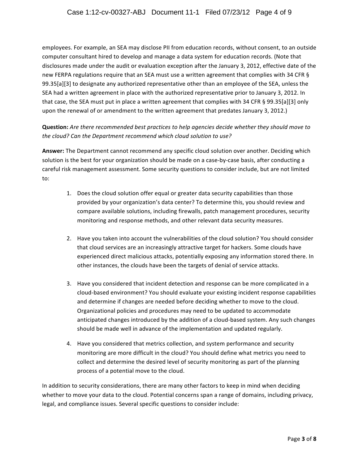## Case 1:12-cv-00327-ABJ Document 11-1 Filed 07/23/12 Page 4 of 9

employees. For example, an SEA may disclose PII from education records, without consent, to an outside computer consultant hired to develop and manage a data system for education records. (Note that disclosures made under the audit or evaluation exception after the January 3, 2012, effective date of the new FERPA regulations require that an SEA must use a written agreement that complies with 34 CFR § 99.35[a][3] to designate any authorized representative other than an employee of the SEA, unless the SEA had a written agreement in place with the authorized representative prior to January 3, 2012. In that case, the SEA must put in place a written agreement that complies with 34 CFR § 99.35[a][3] only upon the renewal of or amendment to the written agreement that predates January 3, 2012.)

**Question:** Are there recommended best practices to help agencies decide whether they should move to the cloud? Can the Department recommend which cloud solution to use?

Answer: The Department cannot recommend any specific cloud solution over another. Deciding which solution is the best for your organization should be made on a case-by-case basis, after conducting a careful risk management assessment. Some security questions to consider include, but are not limited to:

- 1. Does the cloud solution offer equal or greater data security capabilities than those provided by your organization's data center? To determine this, you should review and compare available solutions, including firewalls, patch management procedures, security monitoring and response methods, and other relevant data security measures.
- 2. Have you taken into account the vulnerabilities of the cloud solution? You should consider that cloud services are an increasingly attractive target for hackers. Some clouds have experienced direct malicious attacks, potentially exposing any information stored there. In other instances, the clouds have been the targets of denial of service attacks.
- 3. Have you considered that incident detection and response can be more complicated in a cloud-based environment? You should evaluate your existing incident response capabilities and determine if changes are needed before deciding whether to move to the cloud. Organizational policies and procedures may need to be updated to accommodate anticipated changes introduced by the addition of a cloud-based system. Any such changes should be made well in advance of the implementation and updated regularly.
- 4. Have you considered that metrics collection, and system performance and security monitoring are more difficult in the cloud? You should define what metrics you need to collect and determine the desired level of security monitoring as part of the planning process of a potential move to the cloud.

In addition to security considerations, there are many other factors to keep in mind when deciding whether to move your data to the cloud. Potential concerns span a range of domains, including privacy, legal, and compliance issues. Several specific questions to consider include: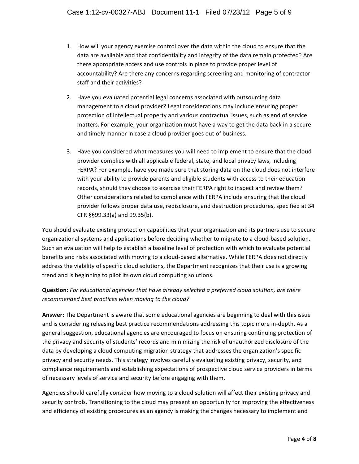- 1. How will your agency exercise control over the data within the cloud to ensure that the data are available and that confidentiality and integrity of the data remain protected? Are there appropriate access and use controls in place to provide proper level of accountability? Are there any concerns regarding screening and monitoring of contractor staff and their activities?
- 2. Have you evaluated potential legal concerns associated with outsourcing data management to a cloud provider? Legal considerations may include ensuring proper protection of intellectual property and various contractual issues, such as end of service matters. For example, your organization must have a way to get the data back in a secure and timely manner in case a cloud provider goes out of business.
- 3. Have you considered what measures you will need to implement to ensure that the cloud provider complies with all applicable federal, state, and local privacy laws, including FERPA? For example, have you made sure that storing data on the cloud does not interfere with your ability to provide parents and eligible students with access to their education records, should they choose to exercise their FERPA right to inspect and review them? Other considerations related to compliance with FERPA include ensuring that the cloud provider follows proper data use, redisclosure, and destruction procedures, specified at 34 CFR §§99.33(a) and 99.35(b).

You should evaluate existing protection capabilities that your organization and its partners use to secure organizational systems and applications before deciding whether to migrate to a cloud-based solution. Such an evaluation will help to establish a baseline level of protection with which to evaluate potential benefits and risks associated with moving to a cloud-based alternative. While FERPA does not directly address the viability of specific cloud solutions, the Department recognizes that their use is a growing trend and is beginning to pilot its own cloud computing solutions.

# **Question:** For educational agencies that have already selected a preferred cloud solution, are there recommended best practices when moving to the cloud?

Answer: The Department is aware that some educational agencies are beginning to deal with this issue and is considering releasing best practice recommendations addressing this topic more in-depth. As a general suggestion, educational agencies are encouraged to focus on ensuring continuing protection of the privacy and security of students' records and minimizing the risk of unauthorized disclosure of the data by developing a cloud computing migration strategy that addresses the organization's specific privacy and security needs. This strategy involves carefully evaluating existing privacy, security, and compliance requirements and establishing expectations of prospective cloud service providers in terms of necessary levels of service and security before engaging with them.

Agencies should carefully consider how moving to a cloud solution will affect their existing privacy and security controls. Transitioning to the cloud may present an opportunity for improving the effectiveness and efficiency of existing procedures as an agency is making the changes necessary to implement and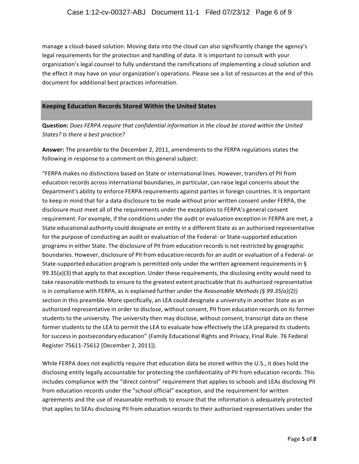manage a cloud-based solution. Moving data into the cloud can also significantly change the agency's legal requirements for the protection and handling of data. It is important to consult with your organization's legal counsel to fully understand the ramifications of implementing a cloud solution and the effect it may have on your organization's operations. Please see a list of resources at the end of this document for additional best practices information.

## **Keeping Education Records Stored Within the United States**

**Question:** Does FERPA require that confidential information in the cloud be stored within the United States? *Is* there a best practice?

**Answer:** The preamble to the December 2, 2011, amendments to the FERPA regulations states the following in response to a comment on this general subject:

"FERPA makes no distinctions based on State or international lines. However, transfers of PII from education records across international boundaries, in particular, can raise legal concerns about the Department's ability to enforce FERPA requirements against parties in foreign countries. It is important to keep in mind that for a data disclosure to be made without prior written consent under FERPA, the disclosure must meet all of the requirements under the exceptions to FERPA's general consent requirement. For example, if the conditions under the audit or evaluation exception in FERPA are met, a State educational authority could designate an entity in a different State as an authorized representative for the purpose of conducting an audit or evaluation of the Federal- or State-supported education programs in either State. The disclosure of PII from education records is not restricted by geographic boundaries. However, disclosure of PII from education records for an audit or evaluation of a Federal- or State-supported education program is permitted only under the written agreement requirements in §  $99.35(a)(3)$  that apply to that exception. Under these requirements, the disclosing entity would need to take reasonable methods to ensure to the greatest extent practicable that its authorized representative is in compliance with FERPA, as is explained further under the *Reasonable Methods* (§ 99.35(a)(2)) section in this preamble. More specifically, an LEA could designate a university in another State as an authorized representative in order to disclose, without consent, PII from education records on its former students to the university. The university then may disclose, without consent, transcript data on these former students to the LEA to permit the LEA to evaluate how effectively the LEA prepared its students for success in postsecondary education" (Family Educational Rights and Privacy, Final Rule. 76 Federal Register 75611-75612 [December 2, 2011]).

While FERPA does not explicitly require that education data be stored within the U.S., it does hold the disclosing entity legally accountable for protecting the confidentiality of PII from education records. This includes compliance with the "direct control" requirement that applies to schools and LEAs disclosing PII from education records under the "school official" exception, and the requirement for written agreements and the use of reasonable methods to ensure that the information is adequately protected that applies to SEAs disclosing PII from education records to their authorized representatives under the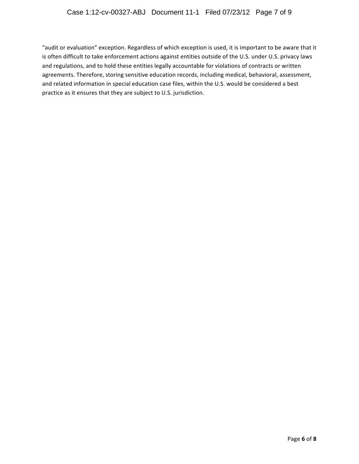# Case 1:12-cv-00327-ABJ Document 11-1 Filed 07/23/12 Page 7 of 9

"audit or evaluation" exception. Regardless of which exception is used, it is important to be aware that it is often difficult to take enforcement actions against entities outside of the U.S. under U.S. privacy laws and regulations, and to hold these entities legally accountable for violations of contracts or written agreements. Therefore, storing sensitive education records, including medical, behavioral, assessment, and related information in special education case files, within the U.S. would be considered a best practice as it ensures that they are subject to U.S. jurisdiction.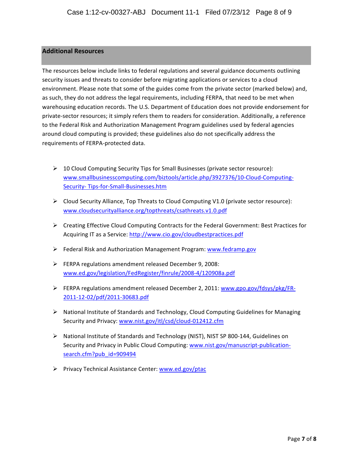#### **Additional Resources**

The resources below include links to federal regulations and several guidance documents outlining security issues and threats to consider before migrating applications or services to a cloud environment. Please note that some of the guides come from the private sector (marked below) and, as such, they do not address the legal requirements, including FERPA, that need to be met when warehousing education records. The U.S. Department of Education does not provide endorsement for private-sector resources; it simply refers them to readers for consideration. Additionally, a reference to the Federal Risk and Authorization Management Program guidelines used by federal agencies around cloud computing is provided; these guidelines also do not specifically address the requirements of FERPA-protected data.

- $\triangleright$  10 Cloud Computing Security Tips for Small Businesses (private sector resource): www.smallbusinesscomputing.com/biztools/article.php/3927376/10-Cloud-Computing-Security- Tips-for-Small-Businesses.htm
- $\triangleright$  Cloud Security Alliance, Top Threats to Cloud Computing V1.0 (private sector resource): www.cloudsecurityalliance.org/topthreats/csathreats.v1.0.pdf
- $\triangleright$  Creating Effective Cloud Computing Contracts for the Federal Government: Best Practices for Acquiring IT as a Service: http://www.cio.gov/cloudbestpractices.pdf
- $\triangleright$  Federal Risk and Authorization Management Program: www.fedramp.gov
- $\triangleright$  FERPA regulations amendment released December 9, 2008: www.ed.gov/legislation/FedRegister/finrule/2008-4/120908a.pdf
- FERPA regulations amendment released December 2, 2011: www.gpo.gov/fdsys/pkg/FR-2011-12-02/pdf/2011-30683.pdf
- $\triangleright$  National Institute of Standards and Technology, Cloud Computing Guidelines for Managing Security and Privacy: www.nist.gov/itl/csd/cloud-012412.cfm
- $\triangleright$  National Institute of Standards and Technology (NIST), NIST SP 800-144, Guidelines on Security and Privacy in Public Cloud Computing: www.nist.gov/manuscript-publicationsearch.cfm?pub\_id=909494
- $\triangleright$  Privacy Technical Assistance Center: www.ed.gov/ptac